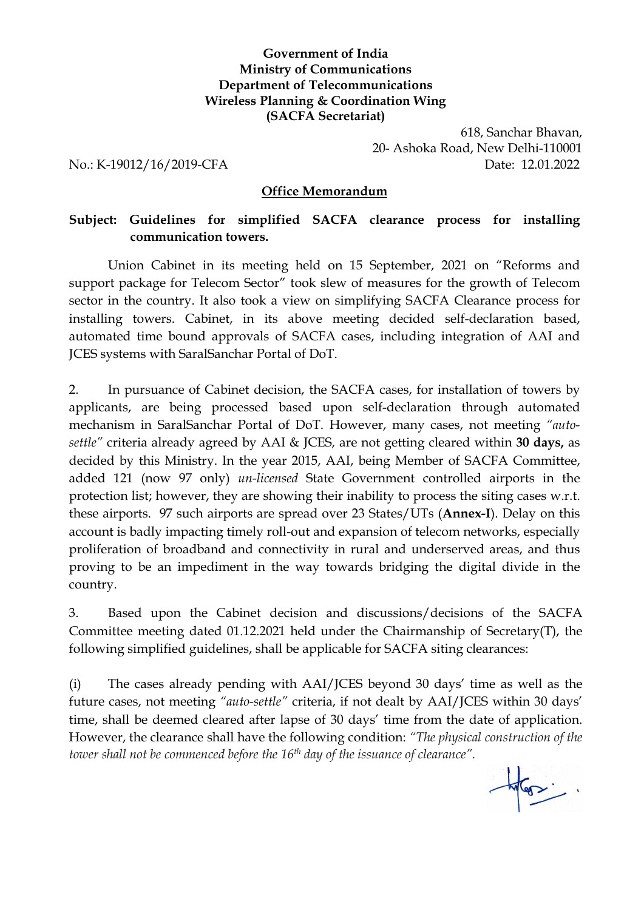### **Government of India Ministry of Communications Department of Telecommunications Wireless Planning & Coordination Wing (SACFA Secretariat)**

618, Sanchar Bhavan, 20- Ashoka Road, New Delhi-110001 No.: K-19012/16/2019-CFA Date: 12.01.2022

#### **Office Memorandum**

### **Subject: Guidelines for simplified SACFA clearance process for installing communication towers.**

Union Cabinet in its meeting held on 15 September, 2021 on "Reforms and support package for Telecom Sector" took slew of measures for the growth of Telecom sector in the country. It also took a view on simplifying SACFA Clearance process for installing towers. Cabinet, in its above meeting decided self-declaration based, automated time bound approvals of SACFA cases, including integration of AAI and JCES systems with SaralSanchar Portal of DoT.

2. In pursuance of Cabinet decision, the SACFA cases, for installation of towers by applicants, are being processed based upon self-declaration through automated mechanism in SaralSanchar Portal of DoT. However, many cases, not meeting *"auto settle"* criteria already agreed by AAI & JCES, are not getting cleared within **30 days,** as decided by this Ministry. In the year 2015, AAI, being Member of SACFA Committee, added 121(now 97 only) *un-licensed* State Government controlled airports in the protection list; however, they are showing their inability to process the siting cases w.r.t. these airports. 97 such airports are spread over 23 States/UTs (**Annex-I**). Delay on this account is badly impacting timely roll-out and expansion of telecom networks, especially proliferation of broadband and connectivity in rural and underserved areas, and thus proving to be an impediment in the way towards bridging the digital divide in the country.

3. Based upon the Cabinet decision and discussions/decisions of the SACFA Committee meeting dated 01.12.2021 held under the Chairmanship of Secretary(T), the following simplified guidelines, shall be applicable for SACFA siting clearances:

(i) The cases already pending with AAI/JCES beyond 30 days' time as well as the future cases, not meeting *"auto-settle"* criteria, if not dealt by AAI/JCES within 30 days' time, shall be deemed cleared after lapse of 30 days' time from the date of application. However, the clearance shall have the following condition: *"The physical construction of the tower shallnot be commenced before the 16 th day of the issuance of clearance".*

 $\frac{1}{\sqrt{1-\frac{1}{2}}}\left( \frac{1}{\sqrt{1-\frac{1}{2}}}\right)$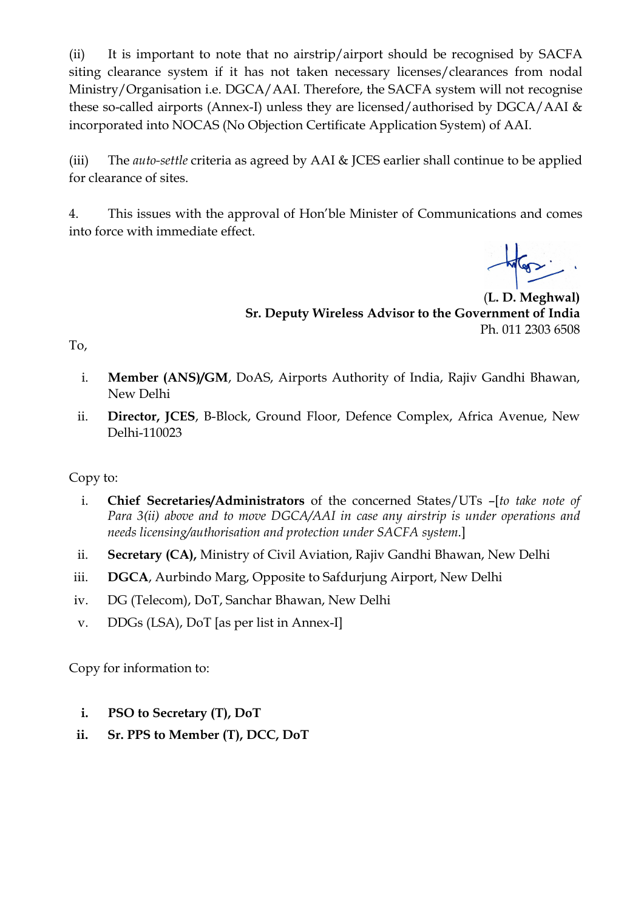(ii) It is important to note that no airstrip/airport should be recognised by SACFA siting clearance system if it has not taken necessary licenses/clearances from nodal Ministry/Organisation i.e. DGCA/AAI. Therefore, the SACFA system will not recognise these so-called airports (Annex-I) unless they are licensed/authorised by DGCA/AAI & incorporated into NOCAS (No Objection Certificate Application System) of AAI.

(iii) The *auto-settle* criteria as agreed by AAI & JCES earlier shall continue to be applied for clearance of sites.

4. This issues with the approval of Hon'ble Minister of Communications and comes into force with immediate effect.

(**L. D. Meghwal) Sr. Deputy Wireless Advisor to the Government of India** Ph. 011 2303 6508

- To,<br>i. **Member (ANS)/GM**, DoAS, Airports Authority of India, Rajiv Gandhi Bhawan, New Delhi
	- ii. **Director, JCES**, B-Block, Ground Floor, Defence Complex, Africa Avenue, New Delhi-110023

Copy to:

- i. **Chief Secretaries/Administrators** of the concerned States/UTs –[*to take note of Para 3(ii)above and to move DGCA/AAI in case any airstrip is under operations and needs licensing/authorisation and protection under SACFA system*.]
- ii. **Secretary (CA),** Ministry of Civil Aviation, Rajiv Gandhi Bhawan, New Delhi
- iii. **DGCA**, Aurbindo Marg, Opposite to Safdurjung Airport, New Delhi
- iv. DG (Telecom), DoT, Sanchar Bhawan, New Delhi
- v. DDGs (LSA), DoT [as per list in Annex-I]

Copy for information to:

- **i. PSO to Secretary (T), DoT**
- **ii. Sr. PPS to Member (T), DCC, DoT**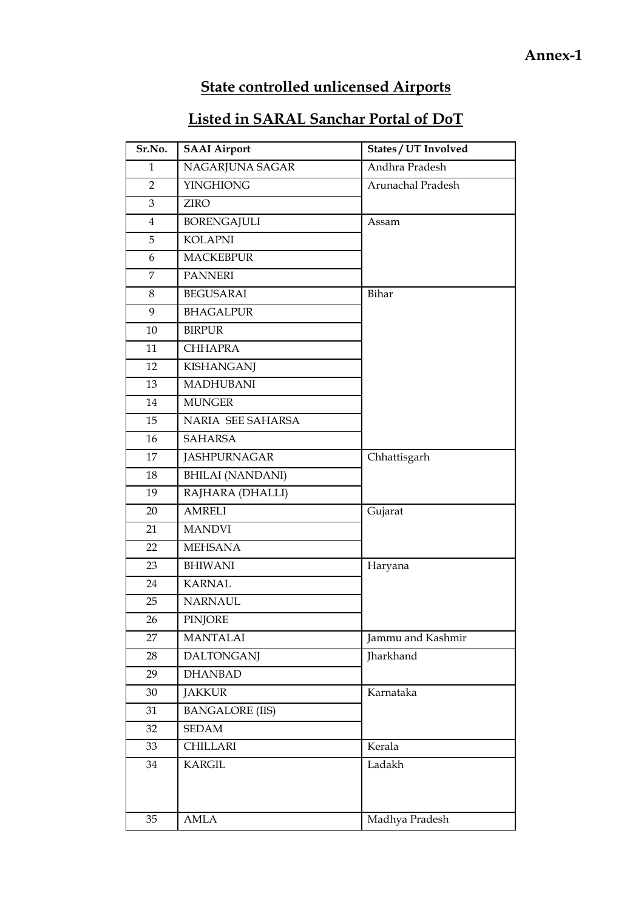## **State controlled unlicensed Airports**

# **Listed in SARAL Sanchar Portal of DoT**

| Sr.No.         | <b>SAAI Airport</b>     | States / UT Involved |
|----------------|-------------------------|----------------------|
| $\mathbf{1}$   | NAGARJUNA SAGAR         | Andhra Pradesh       |
| $\overline{2}$ | <b>YINGHIONG</b>        | Arunachal Pradesh    |
| 3              | <b>ZIRO</b>             |                      |
| $\overline{4}$ | <b>BORENGAJULI</b>      | Assam                |
| 5              | <b>KOLAPNI</b>          |                      |
| 6              | <b>MACKEBPUR</b>        |                      |
| $\overline{7}$ | <b>PANNERI</b>          |                      |
| 8              | <b>BEGUSARAI</b>        | Bihar                |
| 9              | <b>BHAGALPUR</b>        |                      |
| $10\,$         | <b>BIRPUR</b>           |                      |
| 11             | <b>CHHAPRA</b>          |                      |
| 12             | <b>KISHANGANJ</b>       |                      |
| 13             | MADHUBANI               |                      |
| 14             | <b>MUNGER</b>           |                      |
| 15             | NARIA SEE SAHARSA       |                      |
| 16             | <b>SAHARSA</b>          |                      |
| 17             | <b>JASHPURNAGAR</b>     | Chhattisgarh         |
| 18             | <b>BHILAI (NANDANI)</b> |                      |
| 19             | RAJHARA (DHALLI)        |                      |
| 20             | <b>AMRELI</b>           | Gujarat              |
| 21             | <b>MANDVI</b>           |                      |
| 22             | <b>MEHSANA</b>          |                      |
| 23             | <b>BHIWANI</b>          | Haryana              |
| 24             | <b>KARNAL</b>           |                      |
| 25             | <b>NARNAUL</b>          |                      |
| 26             | <b>PINJORE</b>          |                      |
| 27             | <b>MANTALAI</b>         | Jammu and Kashmir    |
| 28             | <b>DALTONGANJ</b>       | Jharkhand            |
| 29             | <b>DHANBAD</b>          |                      |
| 30             | <b>JAKKUR</b>           | Karnataka            |
| 31             | <b>BANGALORE (IIS)</b>  |                      |
| 32             | SEDAM                   |                      |
| 33             | CHILLARI                | Kerala               |
| 34             | <b>KARGIL</b>           | Ladakh               |
|                |                         |                      |
|                |                         |                      |
| 35             | AMLA                    | Madhya Pradesh       |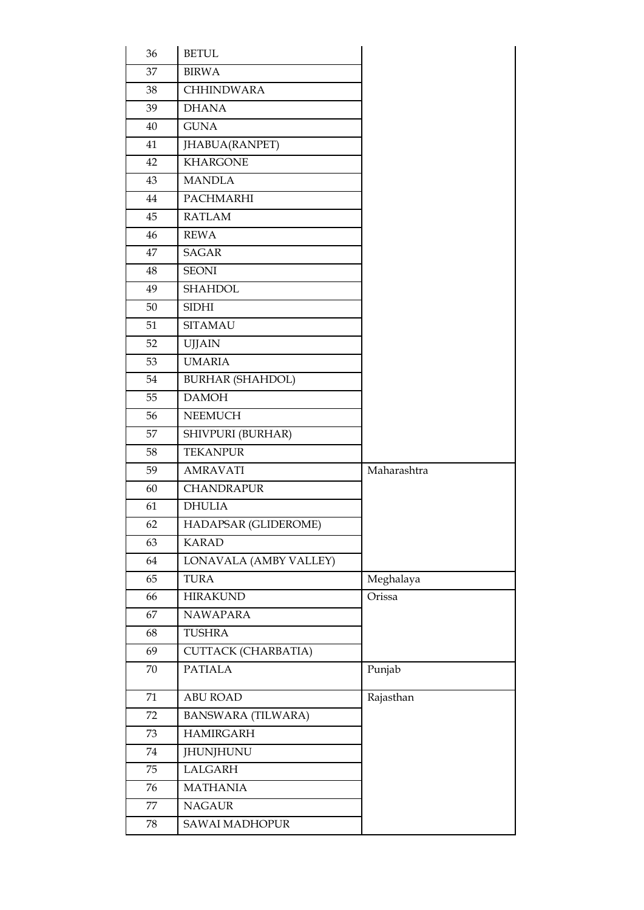| 36 | <b>BETUL</b>               |             |
|----|----------------------------|-------------|
| 37 | <b>BIRWA</b>               |             |
| 38 | <b>CHHINDWARA</b>          |             |
| 39 | <b>DHANA</b>               |             |
| 40 | <b>GUNA</b>                |             |
| 41 | JHABUA(RANPET)             |             |
| 42 | <b>KHARGONE</b>            |             |
| 43 | <b>MANDLA</b>              |             |
| 44 | PACHMARHI                  |             |
| 45 | <b>RATLAM</b>              |             |
| 46 | <b>REWA</b>                |             |
| 47 | SAGAR                      |             |
| 48 | <b>SEONI</b>               |             |
| 49 | <b>SHAHDOL</b>             |             |
| 50 | <b>SIDHI</b>               |             |
| 51 | <b>SITAMAU</b>             |             |
| 52 | <b>UJJAIN</b>              |             |
| 53 | <b>UMARIA</b>              |             |
| 54 | <b>BURHAR (SHAHDOL)</b>    |             |
| 55 | <b>DAMOH</b>               |             |
| 56 | <b>NEEMUCH</b>             |             |
| 57 | SHIVPURI (BURHAR)          |             |
| 58 | <b>TEKANPUR</b>            |             |
| 59 | <b>AMRAVATI</b>            | Maharashtra |
| 60 | <b>CHANDRAPUR</b>          |             |
| 61 | <b>DHULIA</b>              |             |
| 62 | HADAPSAR (GLIDEROME)       |             |
| 63 | <b>KARAD</b>               |             |
| 64 | LONAVALA (AMBY VALLEY)     |             |
| 65 | <b>TURA</b>                | Meghalaya   |
| 66 | <b>HIRAKUND</b>            | Orissa      |
| 67 | <b>NAWAPARA</b>            |             |
| 68 | <b>TUSHRA</b>              |             |
| 69 | <b>CUTTACK (CHARBATIA)</b> |             |
| 70 | <b>PATIALA</b>             | Punjab      |
| 71 | <b>ABU ROAD</b>            | Rajasthan   |
| 72 | <b>BANSWARA (TILWARA)</b>  |             |
| 73 | <b>HAMIRGARH</b>           |             |
| 74 | JHUNJHUNU                  |             |
| 75 | LALGARH                    |             |
| 76 | <b>MATHANIA</b>            |             |
| 77 | <b>NAGAUR</b>              |             |
| 78 | SAWAI MADHOPUR             |             |